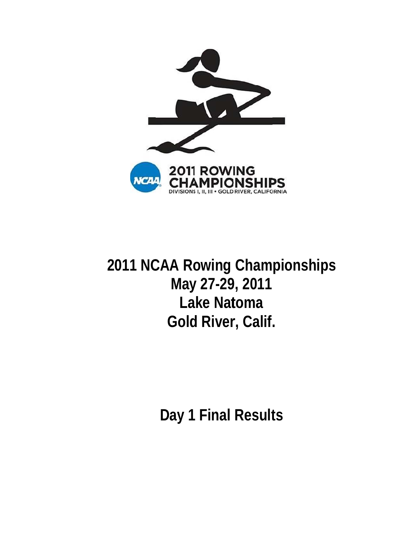

Day 1 Final Results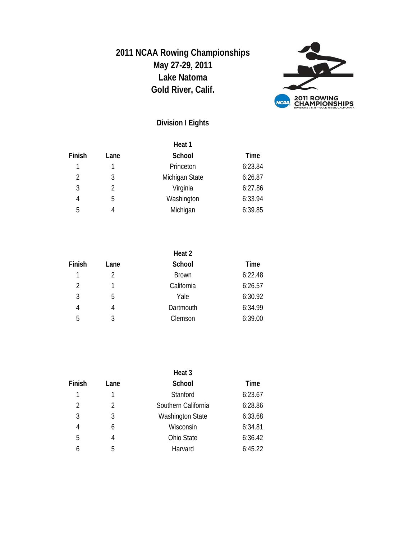

## **Division I Eights**

|                |      | Heat 1         |         |
|----------------|------|----------------|---------|
| Finish         | Lane | School         | Time    |
|                |      | Princeton      | 6:23.84 |
| $\mathfrak{D}$ | 3    | Michigan State | 6:26.87 |
| 3              | 2    | Virginia       | 6:27.86 |
| 4              | 5    | Washington     | 6:33.94 |
| 5              | 4    | Michigan       | 6:39.85 |
|                |      |                |         |

|        |      | Heat 2       |         |
|--------|------|--------------|---------|
| Finish | Lane | School       | Time    |
|        |      | <b>Brown</b> | 6:22.48 |
| 2      |      | California   | 6:26.57 |
| 3      | b    | Yale         | 6:30.92 |
| 4      | 4    | Dartmouth    | 6:34.99 |
| 5      | 3    | Clemson      | 6:39.00 |

| Finish         |      |                         |         |
|----------------|------|-------------------------|---------|
|                | Lane | School                  | Time    |
|                |      | Stanford                | 6:23.67 |
| $\mathfrak{D}$ | 2    | Southern California     | 6:28.86 |
| 3              | 3    | <b>Washington State</b> | 6:33.68 |
| 4              | 6    | Wisconsin               | 6:34.81 |
| 5              | 4    | Ohio State              | 6:36.42 |
|                | 5    | Harvard                 | 6:45.22 |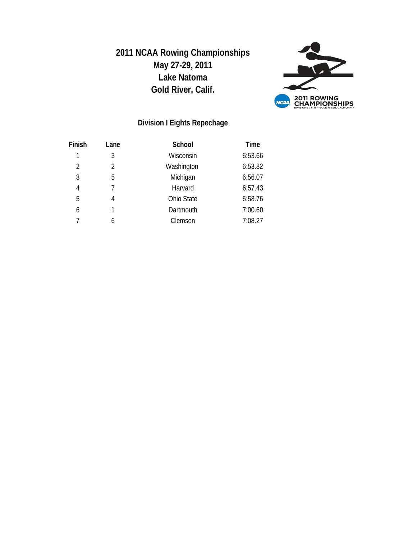

#### **Division I Eights Repechage**

| Finish         | Lane | School            | <b>Time</b> |
|----------------|------|-------------------|-------------|
|                | 3    | Wisconsin         | 6:53.66     |
| $\mathfrak{D}$ | 2    | Washington        | 6:53.82     |
| 3              | 5    | Michigan          | 6:56.07     |
| 4              |      | Harvard           | 6:57.43     |
| 5              | 4    | <b>Ohio State</b> | 6:58.76     |
| 6              | 1    | Dartmouth         | 7:00.60     |
|                | 6    | Clemson           | 7:08.27     |
|                |      |                   |             |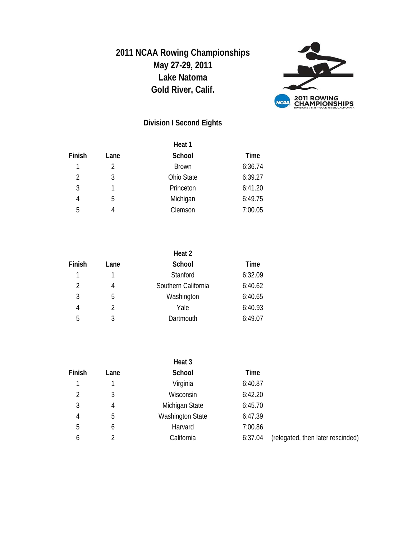

## **Division I Second Eights**

|        |               | Heat 1       |         |
|--------|---------------|--------------|---------|
| Finish | Lane          | School       | Time    |
|        | $\mathcal{P}$ | <b>Brown</b> | 6:36.74 |
| 2      | 3             | Ohio State   | 6:39.27 |
| 3      |               | Princeton    | 6:41.20 |
| 4      | 5             | Michigan     | 6:49.75 |
| 5      | 4             | Clemson      | 7:00.05 |
|        |               |              |         |

|        |      | Heat 2              |         |
|--------|------|---------------------|---------|
| Finish | Lane | School              | Time    |
| 1      |      | Stanford            | 6:32.09 |
| 2      | 4    | Southern California | 6:40.62 |
| 3      | 5    | Washington          | 6:40.65 |
| 4      | 2    | Yale                | 6:40.93 |
| 5      |      | Dartmouth           | 6:49.07 |

|                |      | Heat 3                  |         |                                   |
|----------------|------|-------------------------|---------|-----------------------------------|
| Finish         | Lane | School                  | Time    |                                   |
|                |      | Virginia                | 6:40.87 |                                   |
| $\mathfrak{D}$ | 3    | Wisconsin               | 6:42.20 |                                   |
| 3              | 4    | Michigan State          | 6:45.70 |                                   |
| 4              | 5    | <b>Washington State</b> | 6:47.39 |                                   |
| 5              | 6    | Harvard                 | 7:00.86 |                                   |
| 6              |      | California              | 6:37.04 | (relegated, then later rescinded) |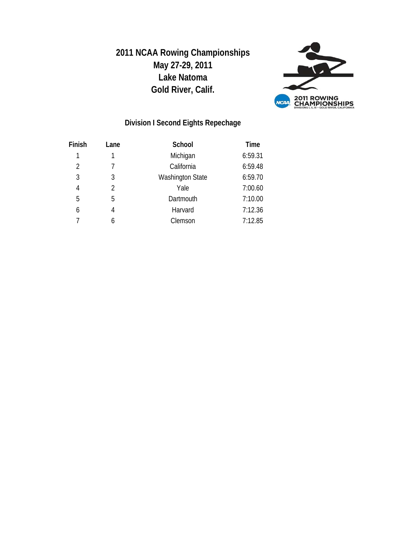

#### **Division I Second Eights Repechage**

| Finish         | Lane | School                  | <b>Time</b> |
|----------------|------|-------------------------|-------------|
|                |      | Michigan                | 6:59.31     |
| $\overline{2}$ |      | California              | 6:59.48     |
| 3              | 3    | <b>Washington State</b> | 6:59.70     |
| 4              | 2    | Yale                    | 7:00.60     |
| 5              | 5    | Dartmouth               | 7:10.00     |
| 6              | 4    | Harvard                 | 7:12.36     |
|                | 6    | Clemson                 | 7:12.85     |
|                |      |                         |             |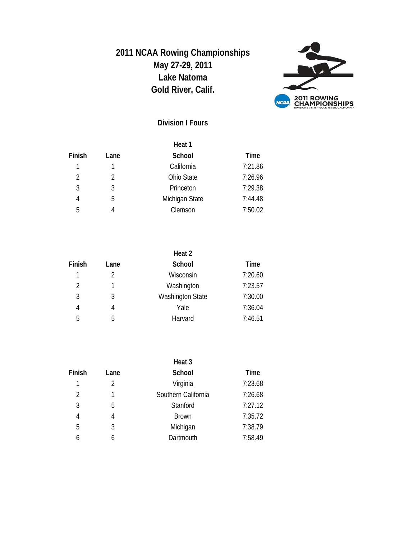

#### **Division I Fours**

| Finish         | Lane | School         | Time    |
|----------------|------|----------------|---------|
|                |      | California     | 7:21.86 |
| $\mathfrak{D}$ | 2    | Ohio State     | 7:26.96 |
| 3              | 3    | Princeton      | 7:29.38 |
| 4              | 5    | Michigan State | 7:44.48 |
| 5              | 4    | Clemson        | 7:50.02 |
|                |      |                |         |

| Lane | School                  | Time    |
|------|-------------------------|---------|
| 2    | Wisconsin               | 7:20.60 |
|      | Washington              | 7:23.57 |
| 3    | <b>Washington State</b> | 7:30.00 |
| 4    | Yale                    | 7:36.04 |
| 5    | Harvard                 | 7:46.51 |
|      |                         | Heat 2  |

|                |      | Heat 3              |         |
|----------------|------|---------------------|---------|
| Finish         | Lane | School              | Time    |
| 1              | 2    | Virginia            | 7:23.68 |
| $\mathfrak{D}$ | 1    | Southern California | 7:26.68 |
| 3              | 5    | Stanford            | 7:27.12 |
| 4              | 4    | <b>Brown</b>        | 7:35.72 |
| 5              | 3    | Michigan            | 7:38.79 |
| 6              | 6    | Dartmouth           | 7:58.49 |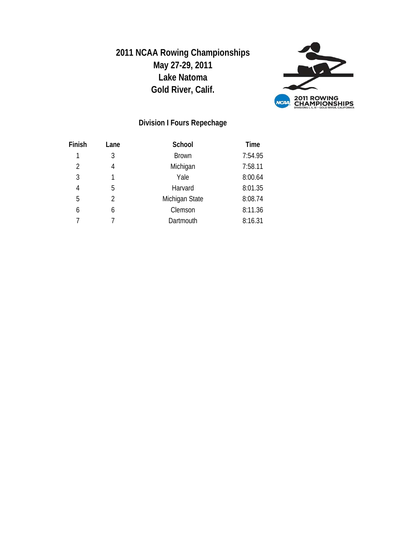

## **Division I Fours Repechage**

| Finish         | Lane           | School         | Time    |
|----------------|----------------|----------------|---------|
|                | 3              | <b>Brown</b>   | 7:54.95 |
| $\mathfrak{D}$ | 4              | Michigan       | 7:58.11 |
| 3              |                | Yale           | 8:00.64 |
| 4              | 5              | Harvard        | 8:01.35 |
| 5              | $\mathfrak{D}$ | Michigan State | 8:08.74 |
| 6              | 6              | Clemson        | 8:11.36 |
|                |                | Dartmouth      | 8:16.31 |
|                |                |                |         |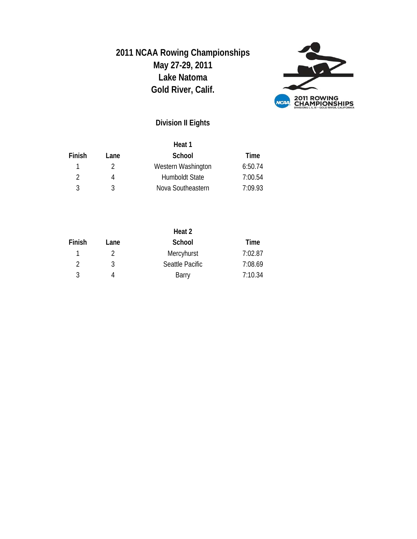

## **Division II Eights**

| Lane | School                | Time    |
|------|-----------------------|---------|
|      | Western Washington    | 6:50.74 |
|      | <b>Humboldt State</b> | 7:00.54 |
| ς    | Nova Southeastern     | 7:09.93 |
|      |                       | Heat 1  |

|        |      | Heat 2          |         |
|--------|------|-----------------|---------|
| Finish | Lane | School          | Time    |
|        |      | Mercyhurst      | 7:02.87 |
| 2      | 3    | Seattle Pacific | 7:08.69 |
| २      |      | Barry           | 7:10.34 |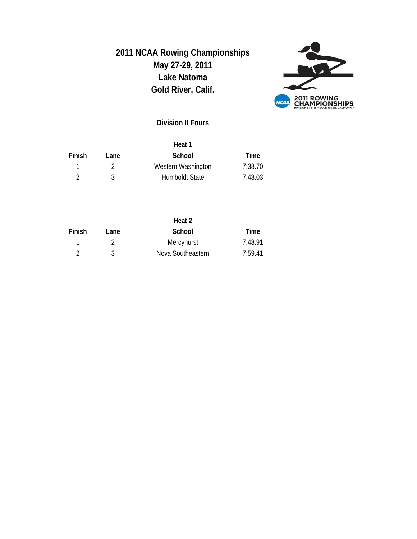

#### **Division II Fours**

| Finish | Heat 1 |                       |         |  |
|--------|--------|-----------------------|---------|--|
|        | Lane   | School                | Time    |  |
|        |        | Western Washington    | 7:38.70 |  |
|        |        | <b>Humboldt State</b> | 7:43.03 |  |

|        |      | Heat 2            |         |
|--------|------|-------------------|---------|
| Finish | Lane | School            | Time    |
|        |      | Mercyhurst        | 7:48.91 |
|        | ર    | Nova Southeastern | 7:59.41 |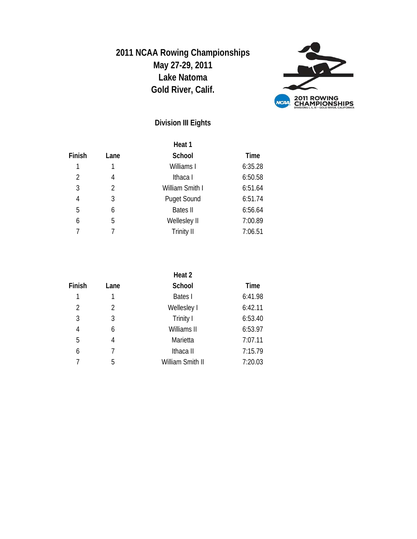

## **Division III Eights**

| Finish         |                | Heat 1             |         |
|----------------|----------------|--------------------|---------|
|                | Lane           | School             | Time    |
| 1              | 1              | Williams I         | 6:35.28 |
| $\mathfrak{D}$ | 4              | Ithaca I           | 6:50.58 |
| 3              | $\mathfrak{D}$ | William Smith I    | 6:51.64 |
| 4              | 3              | <b>Puget Sound</b> | 6:51.74 |
| 5              | 6              | <b>Bates II</b>    | 6:56.64 |
| 6              | 5              | Wellesley II       | 7:00.89 |
|                |                | <b>Trinity II</b>  | 7:06.51 |
|                |                |                    |         |

|        |      | Heat 2           |         |
|--------|------|------------------|---------|
| Finish | Lane | School           | Time    |
| 1      |      | Bates I          | 6:41.98 |
| 2      | 2    | Wellesley I      | 6:42.11 |
| 3      | 3    | Trinity I        | 6:53.40 |
| 4      | 6    | Williams II      | 6:53.97 |
| 5      | 4    | Marietta         | 7:07.11 |
| 6      |      | Ithaca II        | 7:15.79 |
|        | 5    | William Smith II | 7:20.03 |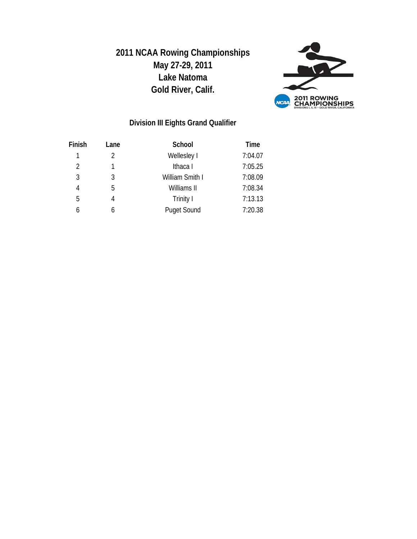

# **Division III Eights Grand Qualifier**

| Finish         | Lane | School             | <b>Time</b> |
|----------------|------|--------------------|-------------|
|                |      | Wellesley I        | 7:04.07     |
| $\mathfrak{D}$ |      | Ithaca I           | 7:05.25     |
| 3              | 3    | William Smith I    | 7:08.09     |
| 4              | 5    | Williams II        | 7:08.34     |
| 5              | 4    | Trinity I          | 7:13.13     |
| 6              | 6    | <b>Puget Sound</b> | 7:20.38     |
|                |      |                    |             |